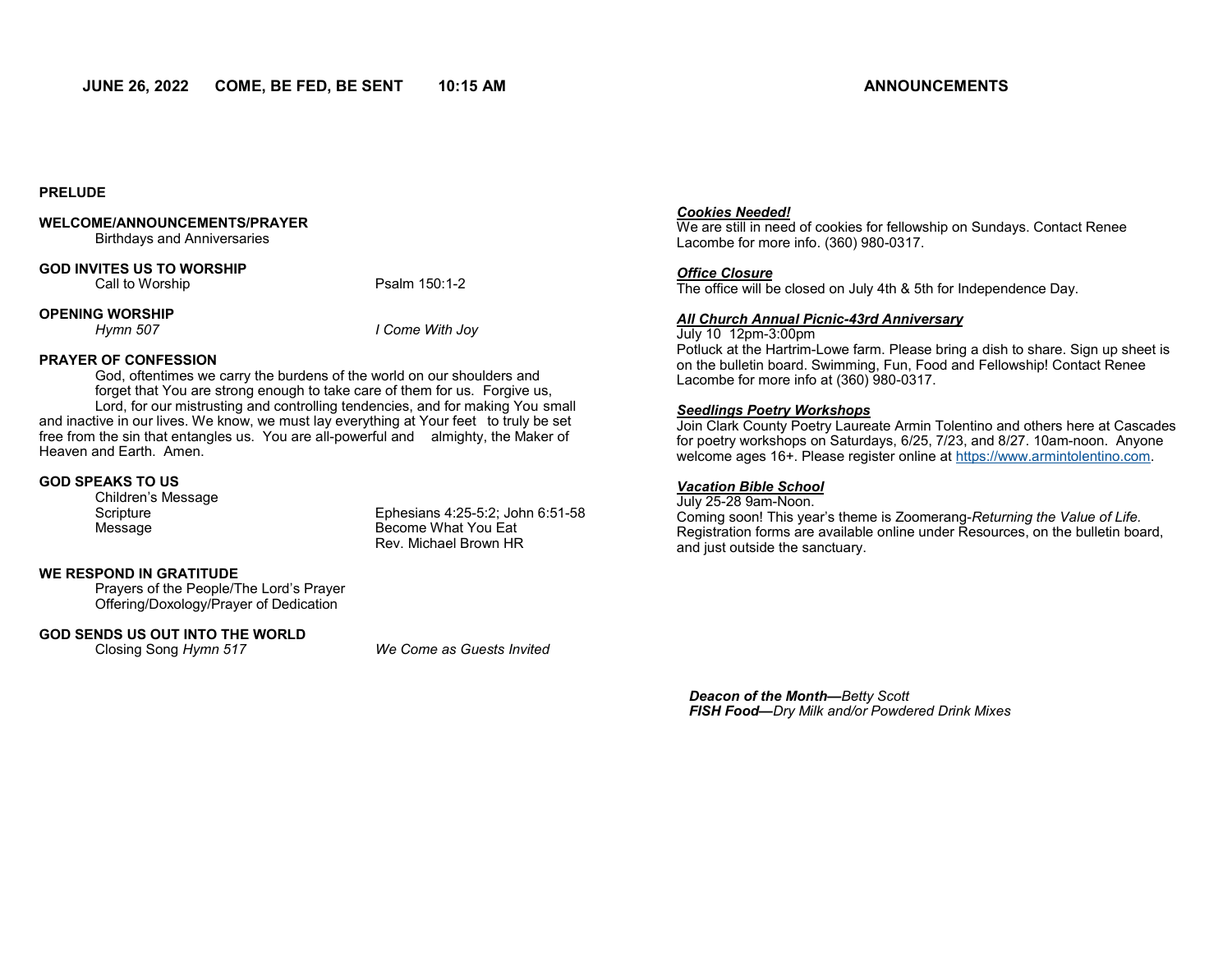#### **PRELUDE**

#### **WELCOME/ANNOUNCEMENTS/PRAYER**

Birthdays and Anniversaries

#### **GOD INVITES US TO WORSHIP**

Call to Worship **Psalm 150:1-2** 

#### **OPENING WORSHIP**

*Hymn 507 I Come With Joy*

#### **PRAYER OF CONFESSION**

God, oftentimes we carry the burdens of the world on our shoulders and forget that You are strong enough to take care of them for us. Forgive us, Lord, for our mistrusting and controlling tendencies, and for making You small and inactive in our lives. We know, we must lay everything at Your feet to truly be set free from the sin that entangles us. You are all-powerful and almighty, the Maker of Heaven and Earth. Amen.

#### **GOD SPEAKS TO US**

Children's Message

Scripture Ephesians 4:25-5:2; John 6:51-58 Message Become What You Eat Rev. Michael Brown HR

#### **WE RESPOND IN GRATITUDE**

Prayers of the People/The Lord's Prayer Offering/Doxology/Prayer of Dedication

# **GOD SENDS US OUT INTO THE WORLD**<br>Closing Song Hymn 517

**We Come as Guests Invited** 

#### *Cookies Needed!*

We are still in need of cookies for fellowship on Sundays. Contact Renee Lacombe for more info. (360) 980-0317.

#### *Office Closure*

The office will be closed on July 4th & 5th for Independence Day.

#### *All Church Annual Picnic-43rd Anniversary*

#### July 10 12pm-3:00pm

Potluck at the Hartrim-Lowe farm. Please bring a dish to share. Sign up sheet is on the bulletin board. Swimming, Fun, Food and Fellowship! Contact Renee Lacombe for more info at (360) 980-0317.

#### *Seedlings Poetry Workshops*

Join Clark County Poetry Laureate Armin Tolentino and others here at Cascades for poetry workshops on Saturdays, 6/25, 7/23, and 8/27. 10am-noon. Anyone welcome ages 16+. Please register online at [https://www.armintolentino.com.](https://www.armintolentino.com)

#### *Vacation Bible School*

July 25-28 9am-Noon. Coming soon! This year's theme is Zoomerang-*Returning the Value of Life.*  Registration forms are available online under Resources, on the bulletin board, and just outside the sanctuary.

*Deacon of the Month—Betty Scott FISH Food—Dry Milk and/or Powdered Drink Mixes*